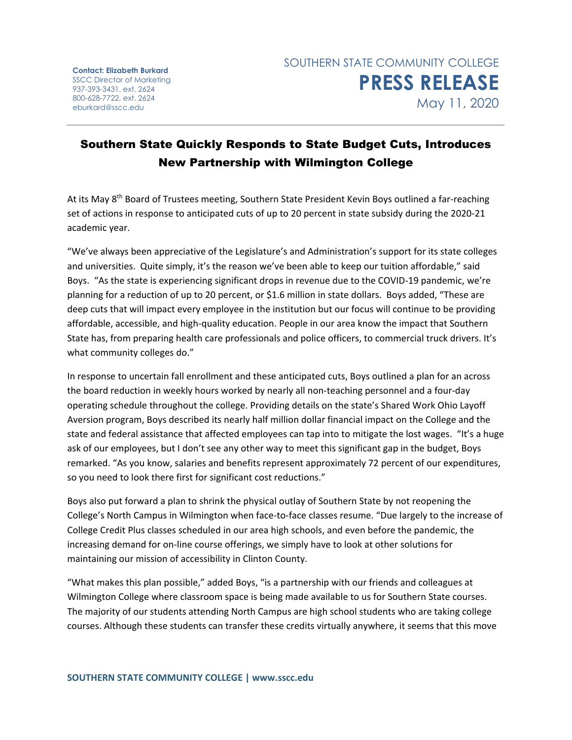**Contact: Elizabeth Burkard** SSCC Director of Marketing 937-393-3431, ext. 2624 800-628-7722, ext. 2624 eburkard@sscc.edu

## Southern State Quickly Responds to State Budget Cuts, Introduces New Partnership with Wilmington College

At its May 8<sup>th</sup> Board of Trustees meeting, Southern State President Kevin Boys outlined a far-reaching set of actions in response to anticipated cuts of up to 20 percent in state subsidy during the 2020-21 academic year.

"We've always been appreciative of the Legislature's and Administration's support for its state colleges and universities. Quite simply, it's the reason we've been able to keep our tuition affordable," said Boys. "As the state is experiencing significant drops in revenue due to the COVID-19 pandemic, we're planning for a reduction of up to 20 percent, or \$1.6 million in state dollars. Boys added, "These are deep cuts that will impact every employee in the institution but our focus will continue to be providing affordable, accessible, and high-quality education. People in our area know the impact that Southern State has, from preparing health care professionals and police officers, to commercial truck drivers. It's what community colleges do."

In response to uncertain fall enrollment and these anticipated cuts, Boys outlined a plan for an across the board reduction in weekly hours worked by nearly all non-teaching personnel and a four-day operating schedule throughout the college. Providing details on the state's Shared Work Ohio Layoff Aversion program, Boys described its nearly half million dollar financial impact on the College and the state and federal assistance that affected employees can tap into to mitigate the lost wages. "It's a huge ask of our employees, but I don't see any other way to meet this significant gap in the budget, Boys remarked. "As you know, salaries and benefits represent approximately 72 percent of our expenditures, so you need to look there first for significant cost reductions."

Boys also put forward a plan to shrink the physical outlay of Southern State by not reopening the College's North Campus in Wilmington when face-to-face classes resume. "Due largely to the increase of College Credit Plus classes scheduled in our area high schools, and even before the pandemic, the increasing demand for on-line course offerings, we simply have to look at other solutions for maintaining our mission of accessibility in Clinton County.

"What makes this plan possible," added Boys, "is a partnership with our friends and colleagues at Wilmington College where classroom space is being made available to us for Southern State courses. The majority of our students attending North Campus are high school students who are taking college courses. Although these students can transfer these credits virtually anywhere, it seems that this move